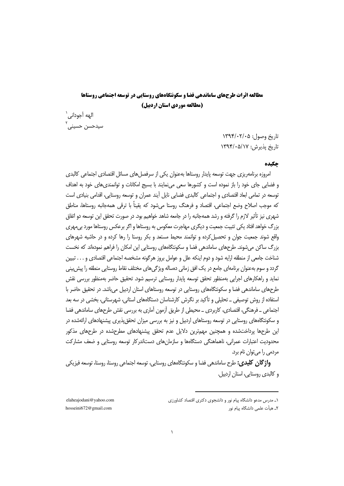# مطالعه اثرات طرحهای ساماندهی فضا و سکونتگاههای روستایی در توسعه احتماعی روستاها (مطالعه موردی استان اردبیل)

الهه آجوداني ` سيدحسن حسينى

> تاريخ وصول: ١٣٩٤/٠٢/٠٥ تاریخ بذیرش: ۱۳۹۴/۰۵/۱۷

# حكىده

امروزه برنامهریزی جهت توسعه پایدار روستاها بهعنوان یکی از سرفصل های مسائل اقتصادی اجتماعی کالبدی و فضایی جای خود را باز نموده است و کشورها سعی مینمایند با بسیج امکانات و توانمندیهای خود به اهداف توسعه در تمامی ابعاد اقتصادی و اجتماعی کالبدی فضایی نایل آیند عمران و توسعه روستایی، اقدامی بنیادی است که موجب اصلاح وضع اجتماعي، اقتصاد و فرهنگ روستا مے شود که یقیناً با ترقی همهجانبه روستاها، مناطق شهري نيز تأثير لازم را گرفته و رشد همهجانبه را در جامعه شاهد خواهيم بود. در صورت تحقق اين توسعه دو اتفاق بزرگ خواهد افتاد یکی تثبیت جمعیت و دیگری مهاجرت معکوس به روستاها و اگر برعکس روستاها مورد بی مهری واقع شوند جمعیت جوان و تحصیل کرده و توانمند محیط مستعد و بکر روستا را رها کرده و در حاشیه شهرهای بزرگ ساکن می شوند. طرحهای ساماندهی فضا و سکونتگاههای روستایی این امکان را فراهم نمودهاند که نخست شناخت جامعي از منطقه ارايه شود و دوم اينكه علل و عوامل بروز هرگونه مشخصه اجتماعي اقتصادي و . . . تبيين گردد و سوم بهعنوان برنامهای جامع در یک افق زمانی دهساله ویژگی های مختلف نقاط روستایی منطقه را پیش بینی نماید و راهکارهای اجرایی بهمنظور تحقق توسعه پایدار روستایی ترسیم شود. تحقیق حاضر بهمنظور بررسی نقش طرحهای ساماندهی فضا و سکونتگاههای روستایی در توسعه روستاهای استان اردبیل می باشد. در تحقیق حاضر با استفاده از روش توصیفی ــ تحلیلی و تأکید بر نگرش کارشناسان دستگاههای استانی، شهرستانی، بخشی در سه بعد اجتماعی \_ فرهنگی، اقتصادی، کاربردی \_ محیطی از طریق آزمون آماری به بررسی نقش طرحهای ساماندهی فضا و سکونتگاههای روستایی در توسعه روستاهای اردبیل و نیز به بررسی میزان تحقق پذیری پیشنهادهای ارائهشده در این طرحها پرداختشده و همچنین مهمترین دلایل عدم تحقق پیشنهادهای مطرحشده در طرحهای مذکور محدودیت اعتبارات عمرانی، ناهماهنگی دستگاهها و سازمانهای دستاندرکار توسعه روستایی و ضعف مشارکت مردمے را مے توان نام برد.

**واژ گان کلیدی:** طرح ساماندهی فضا و سکونتگاههای روستایی، توسعه اجتماعی روستا، روستا، توسعه فیزیکی و كالبدى روستايي، استان اردبيل.

elaheajodani@yahoo.com hosseini672@gmail.com

۱\_ مدرس مدعو دانشگاه پیام نور و دانشجوی دکتری اقتصاد کشاورزی

٢ـ هيأت علمي دانشگاه پيام نور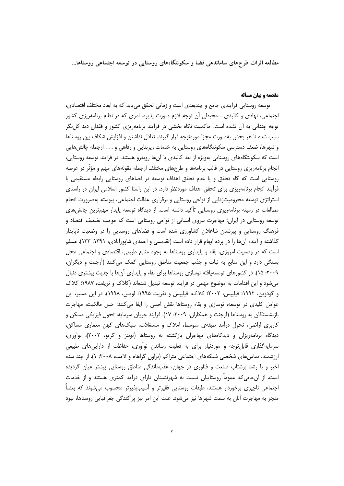# مقدمه و بیان مسأله

توسعه روستایی فرأیندی جامع و چندبعدی است و زمانی تحقق می یابد که به ابعاد مختلف اقتصادی، اجتماعی، نهادی و کالبدی ــ محیطی ان توجه لازم صورت پذیرد، امری که در نظام برنامهریزی کشور توجه چندانی به آن نشده است. حاکمیت نگاه بخشی در فراًیند برنامهریزی کشور و فقدان دید کلiگر سبب شده تا هر بخش بهصورت مجزا موردتوجه قرار گیرند. تعادل نداشتن و افزایش شکاف بین روستاها و شهرها، ضعف دسترسی سکونتگاههای روستایی به خدمات زیربنایی و رفاهی و . . . ازجمله چالشهایی است که سکونتگاههای روستایی بهویژه از بعد کالبدی با آنها روبهرو هستند. در فرایند توسعه روستایی، انجام برنامهریزی روستایی در قالب برنامهها و طرحهای مختلف ازجمله مقولههای مهم و مؤثّر در عرصه روستایی است که گاه تحقق و یا عدم تحقق اهداف توسعه در فضاهای روستایی رابطه مستقیمی با فرآیند انجام برنامهریزی برای تحقق اهداف موردنظر دارد. در این راستا کشور اسلامی ایران در راستای استراتژی توسعه محرومیتزدایی از نواحی روستایی و برقراری عدالت اجتماعی، پیوسته بهضرورت انجام مطالعات در زمینه برنامهریزی روستایی تأکید داشته است. از دیدگاه توسعه پایدار مهمترین چالش های توسعه روستایی در ایران؛ مهاجرت نیروی انسانی از نواحی روستایی است که موجب تضعیف اقتصاد و فرهنگ روستایی و پیرشدن شاغلان کشاورزی شده است و فضاهای روستایی را در وضعیت ناپایدار گذاشته و آینده آنها را در پرده ابهام قرار داده است (تقدیسی و احمدی شاپورآبادی، ۱۳۹۱: ۱۳۳). مسلم است که در وضعیت امروزی، بقاء و پایداری روستاها به وجود منابع طبیعی، اقتصادی و اجتماعی محل بستگی دارد و این منابع به ثبات و جذب جمعیت مناطق روستایی کمک می کنند (آرجنت و دیگران، ۲۰۰۹: ۱۵). در کشورهای توسعهپافته نوسازی روستاها برای بقاء و پایداری آنها با جدیت بیشتری دنبال میشود و این اقدامات به موضوع مهمی در فرایند توسعه تبدیل شدهاند (کلاک و تریفت، ۱۹۸۷؛ کلاک و گودوین، ۱۹۹۲؛ فیلیپس، ۲۰۰۲؛ کلاک، فیلیپس و تفریت ۱۹۹۵؛ لویس، ۱۹۹۸). در این مسیر، این عوامل کلیدی در توسعه، نوسازی و بقاء روستاها نقش اصلی را ایفا میکنند: حس مالکیت، مهاجرت بازنشستگان به روستاها (اَرجنت و همکاران، ۲۰۰۹: ۱۷). فرایند جریان سرمایه، تحول فیزیکی مسکن و کاربری اراضی، تحول درآمد طبقهی متوسط، املاک و مستغلات، سبکهای کهن معماری مساکن، دیدگاه برنامهریزان و دیدگاههای مهاجران بازگشته به روستاها (تونتز و گریو، ۲۰۰۲)، نوآوری، سرمایهگذاری قابلتوجه و موردنیاز برای به فعلیت رساندن نوآوری، حفاظت از داراییهای طبیعی ارزشمند، تماس های شخصی شبکههای اجتماعی متراکم (براون گراهام و لامب، ۲۰۰۸: ۱). از چند سده اخیر و با رشد پرشتاب صنعت و فناوری در جهان، عقبماندگی مناطق روستایی بیشتر عیان گردیده است. از آنجایی که عموماً روستاییان نسبت به شهرنشینان دارای درآمد کمتری هستند و از خدمات اجتماعی ناچیزی برخوردار هستند، طبقات روستایی فقیرتر و آسیبپذیرتر محسوب میشوند که بعضاً منجر به مهاجرت آنان به سمت شهرها نیز میشود. علت این امر نیز پراکندگی جغرافیایی روستاها، نبود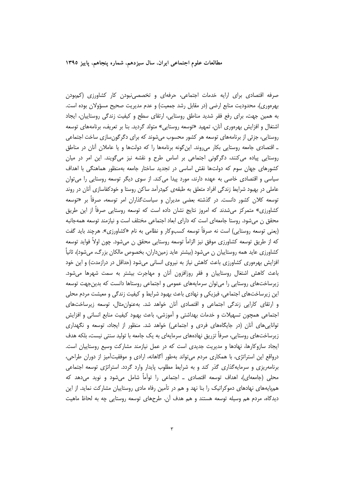صرفه اقتصادی برای ارایه خدمات اجتماعی، حرفهای و تخصصی،نبودن کار کشاورزی (کمبودن بهرهوری)، محدودیت منابع ارضی (در مقابل رشد جمعیت) و عدم مدیریت صحیح مسؤولان بوده است. به همین جهت، برای رفع فقر شدید مناطق روستایی، ارتقای سطح و کیفیت زندگی روستاییان، ایجاد اشتغال و افزایش بهرهوری آنان، تمهید «توسعه روستایی» متولد گردید. بنا بر تعریف، برنامههای توسعه روستایی، جزئی از برنامههای توسعه هر کشور محسوب میشوند که برای دگرگونسازی ساخت اجتماعی ـ اقتصادی جامعه روستایی بکار میروند. این گونه برنامهها را که دولتها و یا عاملان آنان در مناطق روستایی پیاده میکنند، دگرگونی اجتماعی بر اساس طرح و نقشه نیز میگویند. این امر در میان کشورهای جهان سوم که دولتها نقش اساسی در تجدید ساختار جامعه بهمنظور هماهنگی با اهداف سیاسی و اقتصادی خاصی به عهده دارند، مورد پیدا می کند. از سوی دیگر توسعه روستایی را می توان عاملی در بهبود شرایط زندگی افراد متعلق به طبقه ی کمدرآمد ساکن روستا و خودکفاسازی آنان در روند توسعه کلان کشور دانست. در گذشته بعضی مدیران و سیاستگذاران امر توسعه، صرفاً بر «توسعه کشاورزی» متمرکز میشدند که امروز نتایج نشان داده است که توسعه روستایی صرفاً از این طریق محقق ن می شود. روستا جامعهای است که دارای ابعاد اجتماعی مختلف است و نیازمند توسعه همهجانبه (يعني توسعه روستايي) است نه صرفاً توسعه كسبوكار و نظامي به نام «كشاورزي». هرچند بايد گفت که از طریق توسعه کشاورزی موفق نیز الزاماً توسعه روستایی محقق ن میشود. چون اولاً فواید توسعه کشاورزی عاید همه روستاییان ن میشود (بیشتر عاید زمینداران، بخصوص مالکان بزرگ، میشود)، ثانیاً افزایش بهرهوری کشاورزی باعث کاهش نیاز به نیروی انسانی میشود (حداقل در درازمدت) و این خود باعث کاهش اشتغال روستاییان و فقر روزافزون آنان و مهاجرت بیشتر به سمت شهرها میشود. زیرساختهای روستایی را می توان سرمایههای عمومی و اجتماعی روستاها دانست که بدینجهت توسعه این زیرساختهای اجتماعی، فیزیکی و نهادی باعث بهبود شرایط و کیفیت زندگی و معیشت مردم محلی و ارتقای کارایی زندگی اجتماعی و اقتصادی آنان خواهد شد. بهعنوان مثال، توسعه زیرساختهای اجتماعی همچون تسهیلات و خدمات بهداشتی و آموزشی، باعث بهبود کیفیت منابع انسانی و افزایش توانایی های آنان (در جایگاههای فردی و اجتماعی) خواهد شد. منظور از ایجاد، توسعه و نگهداری زیرساختهای روستایی، صرفاً تزریق نهادههای سرمایهای به یک جامعه با تولید سنتی نیست، بلکه هدف ایجاد سازوکارها، نهادها و مدیریت جدیدی است که در عمل نیازمند مشارکت وسیع روستاییان است. درواقع این استراتژی، با همکاری مردم می تواند بهطور آگاهانه، ارادی و موفقیتآمیز از دوران طراحی، برنامهریزی و سرمایهگذاری گذر کند و به شرایط مطلوب پایدار وارد گردد. استراتژی توسعه اجتماعی محلی (جامعهای)، اهداف توسعه اقتصادی ــ اجتماعی را توأماً شامل میشود و نوید میدهد که همپایههای نهادهای دموکراتیک را بنا نهد و هم در تأمین رفاه مادی روستاییان مشارکت نماید. از این دیدگاه، مردم هم وسیله توسعه هستند و هم هدف آن. طرحهای توسعه روستایی چه به لحاظ ماهیت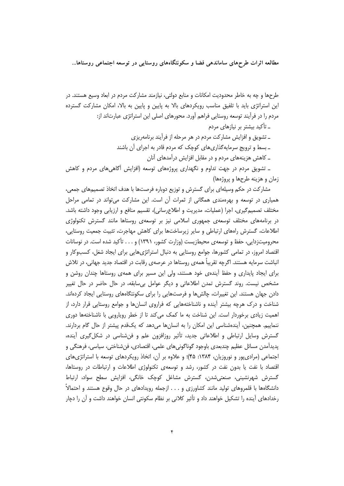طرحها و چه به خاطر محدودیت امکانات و منابع دولتی، نیازمند مشارکت مردم در ابعاد وسیع هستند. در این استراتژی باید با تلفیق مناسب رویکردهای بالا به پایین و پایین به بالا، امکان مشارکت گسترده مردم را در فرآیند توسعه روستایی فراهم آورد. محورهای اصلی این استراتژی عبارتاند از: ـ تأکید بیشتر بر نیازهای مردم ـ تشويق و افزايش مشاركت مردم در هر مرحله از فرآيند برنامهريزي ـ بسط و ترویج سرمایهگذاریهای کوچک که مردم قادر به اجرای آن باشند ــ کاهش هزینههای مردم و در مقابل افزایش درآمدهای آنان ـ تشویق مردم در جهت تداوم و نگهداری پروژههای توسعه (افزایش آگاهیهای مردم و کاهش

زمان و هزینه طرحها و پروژهها)

مشارکت در حکم وسیلهای برای گسترش و توزیع دوباره فرصتها با هدف اتخاذ تصمیمهای جمعی، همیاری در توسعه و بهرهمندی همگانی از ثمرات آن است. این مشارکت می تواند در تمامی مراحل مختلف تصمیمگیری، اجرا (عملیات، مدیریت و اطلاعرسانی)، تقسیم منافع و ارزیابی وجود داشته باشد. در برنامههای مختلف توسعهی جمهوری اسلامی نیز بر توسعهی روستاها مانند گسترش تکنولوژی اطلاعات، گسترش راههای ارتباطی و سایر زیرساختها برای کاهش مهاجرت، تثبیت جمعیت روستایی، محرومیتزدایی، حفظ و توسعهی محیطزیست (وزارت کشور، ۱۳۹۱) و . . . تأکید شده است. در نوسانات اقتصاد امروز، در تمامی کشورها، جوامع روستایی به دنبال استراتژیهایی برای ایجاد شغل، کسبوکار و انباشت سرمایه هستند. اگرچه تقریباً همهی روستاها در عرصهی رقابت در اقتصاد جدید جهانی، در تلاش برای ایجاد پایداری و حفظ آیندهی خود هستند، ولی این مسیر برای همهی روستاها چندان روشن و مشخص نیست. روند گسترش تمدن اطلاعاتی و دیگر عوامل بیسابقه، در حال حاضر در حال تغییر دادن جهان هستند. این تغییرات، چالش ها و فرصتهایی را برای سکونتگاههای روستایی ایجاد کردهاند. شناخت و درک هرچه بیشتر آینده و ناشناختههایی که فراروی انسانها و جوامع روستایی قرار دارد، از اهمیت زیادی برخوردار است. این شناخت به ما کمک می کند تا از خطر رویارویی با ناشناختهها دوری ننماییم. همچنین، آیندهشناسی این امکان را به انسانها میدهد که یکقدم پیشتر از حال گام بردارند. گسترش وسایل ارتباطی و اطلاعاتی جدید، تأثیر روزافزون علم و فنشناسی در شکل گیری آینده، پدیدآمدن مسائل عظیم چندبعدی باوجود گوناگونیهای علمی، اقتصادی، فنشناختی، سیاسی، فرهنگی و اجتماعی (مرادی پور و نوروزیان، ۱۳۸۴: ۴۵)؛ و علاوه بر آن، اتخاذ رویکردهای توسعه با استراتژی های اقتصاد با نفت یا بدون نفت در کشور، رشد و توسعهی تکنولوژی اطلاعات و ارتباطات در روستاها، گسترش شهرنشینی، صنعتی،شدن، گسترش مشاغل کوچک خانگی، افزایش سطح سواد، ارتباط دانشگاهها با قلمروهای تولید مانند کشاورزی و . . . ازجمله رویدادهای در حال وقوع هستند و احتمالاً رخدادهای آینده را تشکیل خواهند داد و تأثیر کلانی بر نظام سکونتی انسان خواهند داشت و آن را دچار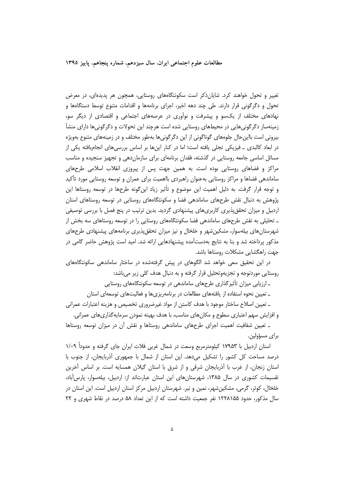تغییر و تحول خواهند کرد. شایان(کر است سکونتگاههای روستایی، همچون هر پدیدهای، در معرض تحول و دگرگونی قرار دارند. طی چند دهه اخیر، اجرای برنامهها و اقدامات متنوع توسط دستگاهها و نهادهای مختلف از یکسو و پیشرفت و نوآوری در عرصههای اجتماعی و اقتصادی از دیگر سو، زمینهساز دگرگونیهایی در محیطهای روستایی شده است هرچند این تحولات و دگرگونیها دارای منشأ بیرونی است بااین حال جلوههای گوناگونی از این دگرگونیها بهطور مختلف و در زمینههای متنوع بهویژه در ابعاد کالبدی ــ فیزیکی تجلی یافته است؛ اما در کنار اینها بر اساس بررسیهای انجامیافته یکی از مسائل اساسی جامعه روستایی در گذشته، فقدان برنامهای برای سازماندهی و تجهیز سنجیده و مناسب مراکز و فضاهای روستایی بوده است. به همین جهت پس از پیروزی انقلاب اسلامی طرحهای ساماندهی فضاها و مراکز روستایی بهعنوان راهبردی بااهمیت برای عمران و توسعه روستایی مورد تأکید و توجه قرار گرفت. به دلیل اهمیت این موضوع و تأثیر زیاد اینگونه طرحها در توسعه روستاها این پژوهش به دنبال نقش طرحهای ساماندهی فضا و سکونتگاههای روستایی در توسعه روستاهای استان اردبیل و میزان تحققپذیری کاربریهای پیشنهادی گردید. بدین ترتیب در پنج فصل با بررسی توصیفی ـ تحلیلی به نقش طرحهای ساماندهی فضا سکونتگاههای روستایی را در توسعه روستاهای سه بخش از شهرستان های بیلهسوار، مشکین شهر و خلخال و نیز میزان تحقق پذیری برنامههای پیشنهادی طرحهای مذکور پرداخته شد و بنا به نتایج بهدستآمده پیشنهادهایی ارائه شد. امید است پژوهش حاضر گامی در جهت راهگشایی مشکلات روستاها باشد.

در این تحقیق سعی خواهد شد الگوهای در پیش گرفتهشده در ساختار ساماندهی سکونتگاههای روستایی موردتوجه و تجزیهوتحلیل قرار گرفته و به دنبال هدف کلی زیر می باشد:

ـ ارزیابی میزان تأثیرگذاری طرحهای ساماندهی در توسعه سکونتگاههای روستایی

\_ تعیین نحوه استفاده از یافتههای مطالعات در برنامهریزیها و فعالیتهای توسعهای استان

ـ تعيين اصلاح ساختار موجود با هدف كاستن از مواد غيرضروري تخصيص و هزينه اعتبارات عمراني و افزایش سهم اعتباری سطوح و مکانهای مناسب، با هدف بهینه نمودن سرمایه گذاریهای عمرانی.

ـ تعیین شفافیت اهمیت اجرای طرحهای ساماندهی روستاها و نقش آن در میزان توسعه روستاها براي مسؤولين.

استان اردبیل با ۱۷۹۵۳ کیلومترمربع وسعت در شمال غربی فلات ایران جای گرفته و حدوداً ۱/۰۹ درصد مساحت کل کشور را تشکیل میدهد. این استان از شمال با جمهوری آذربایجان، از جنوب با استان زنجان، از غرب با آذربایجان شرقی و از شرق با استان گیلان همسایه است. بر اساس آخرین تقسیمات کشوری در سال ۱۳۸۵، شهرستانهای این استان عبارتاند از: اردبیل، بیلهسوار، پارس آباد، خلخال، کوثر، گرمی، مشکینِ شهر، نمین و نیر. شهرستان اردبیل مرکز استان اردبیل است. این استان در سال مذکور، حدود ۱۲۲۸۱۵۵ نفر جمعیت داشته است که از این تعداد ۵۸ درصد در نقاط شهری و ۲۲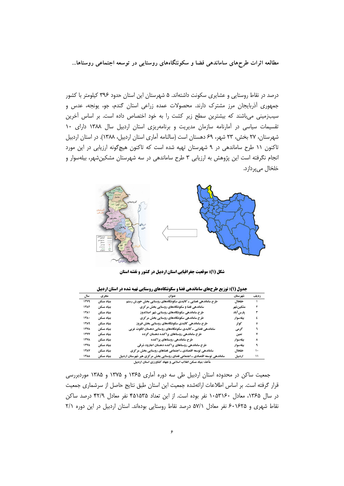درصد در نقاط روستایی و عشایری سکونت داشتهاند. ۵ شهرستان این استان حدود ۳۹۶ کیلومتر با کشور جمهوری آذربایجان مرز مشترک دارند. محصولات عمده زراعی استان گندم، جو، یونجه، عدس و سیبزمینی میباشند که بیشترین سطح زیر کشت را به خود اختصاص داده است. بر اساس آخرین تقسیمات سیاسی در آمارنامه سازمان مدیریت و برنامهریزی استان اردبیل سال ۱۳۸۸ دارای ۱۰ شهرستان، ۲۷ بخش، ۲۳ شهر، ۶۹ دهستان است (سالنامه آماری استان اردبیل، ۱۳۸۸). در استان اردبیل تاکنون ۱۱ طرح ساماندهی در ۹ شهرستان تهیه شده است که تاکنون هیچگونه ارزیابی در این مورد انجام نگرفته است این پژوهش به ارزیابی ۳ طرح ساماندهی در سه شهرستان مشکین شهر، بیلهسوار و خلخال ميپردازد.



شکل (۱): موقعیت جغرافیایی استان اردبیل در کشور و نقشه استان

| سال         | مجرى       | عنوان                                                                      | شهرستان   | رديف |
|-------------|------------|----------------------------------------------------------------------------|-----------|------|
| ۱۳۷۹        | بنياد مسكن | طرح ساماندهی فضایی ـ کالبدی سکونتگاههای روستایی بخش خورش رستم              | خلخال     |      |
| 1387        | بنياد مسكن | ساماندهی فضا و سکونتگاههای روستایی بخش مرکزی                               | مشكين شهر |      |
| 1381        | بنياد مسكن | طرح ساماندهی سکونتگاههای روستایی شهر اصلاندوز                              | پارس آباد | ٣    |
| ۱۳۸۰        | بنياد مسكن | طرح ساماندهی سکونتگاههای روستایی بخش مرکزی                                 | بيلەسوار  | ٤    |
| ۱۳۸۹        | بنياد مسكن | طرح ساماندهی کالبدی سکونتگاههای روستایی بخش فیروز                          | کو ثر     | ٥    |
| ۱۳۷۸        | بنياد مسكن | ساماندهی فضایی ـ کالبدی سکونتگاههای روستایی دهستان انگوت غربی              | گوهي      |      |
| <b>ITYY</b> | بنياد مسكن | طرح ساماندهی روستاهای پراکنده دهستان گرده                                  | نمين      | ۷    |
| <b>ITYA</b> | بنياد مسكن | طرح ساماندهی روستاهای پراکنده                                              | بيلەسوار  | ٨    |
| <b>۱۳۷۸</b> | بنياد مسكن | طرح ساماندهی روستاهای پراکنده دهستان اجارود شرقی                           | بيلەسوار  | ٩    |
| <b>1787</b> | بنياد مسكن | ساماندهی توسعه اقتصادی ـ اجتماعی فضاهای روستایی بخش مرکزی                  | خلخال     | ۱۰   |
| <b>1744</b> | بنياد مسكن | ساماندهی توسعه اقتصادی ـ اجتماعی فضای روستایی بخش مرکزی هیر شهرستان اردبیل | اردييل    | ۱۱   |
|             |            | مأخذ: بنیاد مسکن انقلاب اسلامی و جهاد کشاورزی استان اردبیل                 |           |      |

جدول (۱): توزیع طرحهای ساماندهی فضا و سکونتگاههای روستایی تهیه شده در استان اردبیل

جمعیت ساکن در محدوده استان اردبیل طی سه دوره آماری ۱۳۶۵ و ۱۳۷۵ و ۱۳۸۵ موردبررسی قرار گرفته است. بر اساس اطلاعات ارائهشده جمعیت این استان طبق نتایج حاصل از سرشماری جمعیت در سال ۱۳۶۵، معادل ۱۰۵۳۱۶۰ نفر بوده است. از این تعداد ۴۵۱۵۳۵ نفر معادل ۴۲/۹ درصد ساکن نقاط شهری و ۶۰۱۶۲۵ نفر معادل ۵۷/۱ درصد نقاط روستایی بودهاند. استان اردبیل در این دوره ۲/۱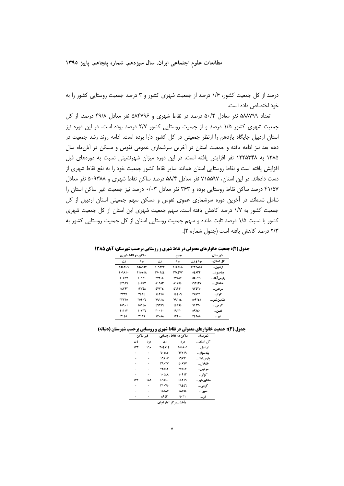درصد از کل جمعیت کشور، ۱/۶ درصد از جمعیت شهری کشور و ۳ درصد جمعیت روستایی کشور را به خود اختصاص داده است.

تعداد ۵۸۸۷۹۹ نفر معادل ۵۰/۲ درصد در نقاط شهری و ۵۸۴۷۹۶ نفر معادل ۴۹/۸ درصد، از کل جمعیت شهری کشور ۱/۵ درصد و از جمعیت روستایی کشور ۲/۷ درصد بوده است. در این دوره نیز استان اردبیل جایگاه یازدهم را ازنظر جمعیتی در کل کشور دارا بوده است. ادامه روند رشد جمعیت در دهه بعد نیز ادامه یافته و جمعیت استان در آخرین سرشماری عمومی نفوس و مسکن در آبانءاه سال ۱۳۸۵ به ۱۲۲۵۳۴۸ نفر افزایش یافته است. در این دوره میزان شهرنشینی نسبت به دورههای قبل افزایش یافته است و نقاط روستایی استان همانند سایر نقاط کشور جمعیت خود را به نفع نقاط شهری از دست دادهاند. در این استان، ۷۱۵۵۹۷ نفر معادل ۵۸/۴ درصد ساکن نقاط شهری و ۵۰۹۳۸۸ نفر معادل ۴۱/۵۷ درصد ساکن نقاط روستایی بوده و ۳۶۳ نفر معادل ۰/۰۳ درصد نیز جمعیت غیر ساکن استان را شامل شدهاند. در آخرین دوره سرشماری عموی نفوس و مسکن سهم جمعیتی استان اردبیل از کل جمعیت کشور به ۱/۷ درصد کاهش یافته است. سهم جمعیت شهری این استان از کل جمعیت شهری کشور با نسبت ۱/۵ درصد ثابت مانده و سهم جمعیت روستایی استان از کل جمعیت روستایی کشور به ٢/٣ درصد كاهش يافته است (جدول شماره ٢).

|               | ساکن در نقاط شهری | جمع           |               |                | شهر ستان    |
|---------------|-------------------|---------------|---------------|----------------|-------------|
| زن            | مر د              | زن            | مر د          | مردوزن         | کل استان    |
| <b>TOETE7</b> | <b>TOATOY</b>     | 7.9277        | <b>712728</b> | <b>ITTTAA1</b> | اردبيل      |
| <b>٢٠٩٨١٠</b> | <b>TIOVOA</b>     | <b>TV.TEE</b> | <b>TYAEVY</b> | OEATT          | بيلەسوار    |
| 1.5TV         | ۱۰۹۲۱             | <b>TYTEE</b>  | <b>TYYAT</b>  | 00.٢٦          | يارس آباد   |
| <b>ET107</b>  | <b>£</b> + AVY    | <b>A17AF</b>  | <b>AIVOL</b>  | ۱٦٣٤٣٧         | خلخال       |
| 22292         | <b>TTTEA</b>      | <b>EVTTE</b>  | 27191         | <b>13280</b>   | سر عین…     |
| <b>TYTY</b>   | 3292              | 12710         | 122.7         | <b>78771</b>   | كە ئې       |
| ۲۳۳۱۵         | 307.7             | <b>YUUTA</b>  | ۷۹٦١٤         | 109727         | مشكين شهر   |
| $107 - 1$     | <b>1012A</b>      | <b>ENNYL</b>  | <b>11091</b>  | <b>1177.</b>   | گرمي        |
| ۱۱۱۳۳         | ۱۰۷۳٦             | $r \cdots$    | ۳۹٦۳۰         | 09720          | نمين…       |
| 3120          | ۳۱٦٩              | 11.4A         | 111           | <b>TETAA</b>   | <b>نیر </b> |

جدول (۲): جمعیت خانوارهای معمولی در نقاط شهری و روستایی برحسب شهرستان: آبان ۱۳۸۵

جدول (3): جمعیت خانوارهای معمولی در نقاط شهری و روستایی برحسب شهرستان (دنباله)

|     | غير ساكن | ساكن در نقاط روستايي |                | شهر ستان   |  |
|-----|----------|----------------------|----------------|------------|--|
| زن  | مر د     | زن                   | مر د           | كل استان   |  |
| 1YT | ۱۹۰      | <b>TOEAIE</b>        | r008 - 1       | اردييل     |  |
| ٠   | ۰        | 1.020                | <b>71719</b>   | بيلەسوار   |  |
|     | ٠        | 178.7                | 17111          | پارس آباد  |  |
|     | ۰        | 39.47                | <b>£ + AYY</b> | خلخال      |  |
|     | ۰        | TTAET                | TTAET          | سرعين      |  |
| ۰   | ۰        | <b>1.02A</b>         | ۱۰۹۱۲          | کو ثر      |  |
| 1YT | ١٨٩      | 2712.                | EETIY          | مشكينشهر … |  |
| ٠   | ۰        | <b>٣١٠٧٥</b>         | ٣٩٤٤٦          | گرمي       |  |
|     |          | <b>IAAAY</b>         | 18892          | نمين       |  |
|     |          | <b>ARET</b>          | ۹۰۳۱           | نير…       |  |
|     |          | .                    | $\ldots$ f     |            |  |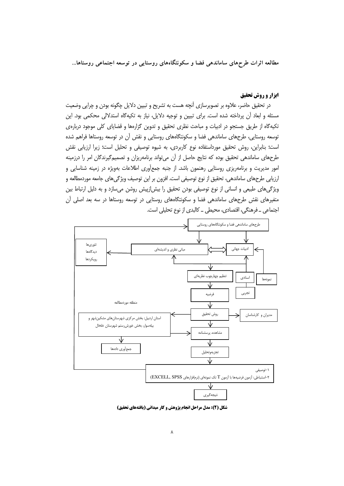#### **ایزار و روش تحقیق**

در تحقیق حاضر، علاوه بر تصویرسازی آنچه هست به تشریح و تبیین دلایل چگونه بودن و چرایی وضعیت مسئله و ابعاد أن پرداخته شده است. برای تبیین و توجیه دلایل، نیاز به تکیهگاه استدلالی محکمی بود. این تکیهگاه از طریق جستجو در ادبیات و مباحث نظری تحقیق و تدوین گزارهها و قضایای کلی موجود دربارهی توسعه روستایی، طرحهای ساماندهی فضا و سکونتگاههای روستایی و نقش آن در توسعه روستاها فراهم شده است؛ بنابراین، روش تحقیق مورداستفاده نوع کاربردی، به شیوه توصیفی و تحلیل است؛ زیرا ارزیابی نقش طرحهای ساماندهی تحقیق بوده که نتایج حاصل از آن می¤واند برنامهریزان و تصمیمگیرندگان امر را درزمینه امور مدیریت و برنامهریزی روستایی رهنمون باشد. از جنبه جمع[وری اطلاعات بهویژه در زمینه شناسایی و ارزیابی طرحهای ساماندهی، تحقیق از نوع توصیفی است. افزون بر این توصیف ویژگیهای جامعه موردمطالعه و ویژگیهای طبیعی و انسانی از نوع توصیفی بودن تحقیق را بیش(زپیش روشن میسازد و به دلیل ارتباط بین متغیرهای نقش طرحهای ساماندهی فضا و سکونتگاههای روستایی در توسعه روستاها در سه بعد اصلی آن اجتماعي \_ فرهنگي، اقتصادي، محيطي \_ كالبدي از نوع تحليلي است.



شکل (۲): مدل مراحل انجام پژوهش و کار میدانی (یافتههای تحقیق)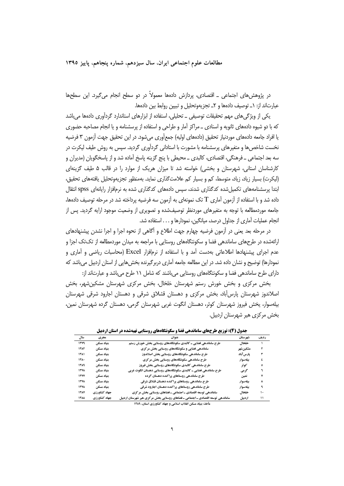در پژوهش های اجتماعی \_ اقتصادی، پردازش دادهها معمولاً در دو سطح انجام می گیرد. این سطحها عبارتاند از: ١\_ توصيف دادهها و ٢\_ تجزيهوتحليل و تبيين روابط بين دادهها.

یکی از ویژگیهای مهم تحقیقات توصیفی ــ تحلیلی، استفاده از ابزارهای استاندارد گردآوری دادهها می باشد که با دو شیوه دادههای ثانویه و اسنادی ــ مراکز آمار و طراحی و استفاده از پرسشنامه و یا انجام مصاحبه حضوری یا افراد جامعه دادههای موردنیاز تحقیق (دادههای اولیه) جمعآوری میشود. در این تحقیق جهت آزمون ۳ فرضیه نخست شاخص ها و متغیرهای پرسشنامه با مشورت با استادانی گردآوری گردید. سپس به روش طیف لیکرت در سه بعد اجتماعي \_ فرهنگي، اقتصادي، كالبدي \_ محيطي با پنج گزينه پاسخ آماده شد و از پاسخگويان (مديران و کارشناسان استانی، شهرستان و بخشی) خواسته شد تا میزان هریک از موارد را در قالب ۵ طیف گزینهای (لیکرت) بسیار زیاد، زیاد، متوسط، کم و بسیار کم علامت گذاری نماید. بهمنظور تجزیهوتحلیل یافتههای تحقیق، ابتدا پرسشنامههای تکمیل شده کدگذاری شدند، سپس دادههای کدگذاری شده به نرمافزار رایانهای spss انتقال داده شد و با استفاده از آزمون آماری T تک نمونهای به آزمون سه فرضیه پرداخته شد در مرحله توصیف دادهها، جامعه موردمطالعه با توجه به متغیرهای موردنظر توصیفشده و تصویری از وضعیت موجود ارایه گردید. پس از انجام عملیات آماری از جداول درصد، میانگین، نمودارها و . . . استفاده شد.

در مرحله بعد یعنی در آزمون فرضیه چهارم جهت اطلاع و آگاهی از نحوه اجرا و اجرا نشدن پیشنهادهای ارائهشده در طرحهای ساماندهی فضا و سکونتگاههای روستایی با مراجعه به میدان موردمطالعه از تکتک اجزا و عدم اجرای پیشنهادها اطلاعاتی بهدست آمد و با استفاده از نرمافزار Excel (محاسبات ریاضی و آماری و نمودارها) توضیح و نشان داده شد. در این مطالعه جامعه آماری دربر گیرنده بخش هایی از استان اردبیل می باشد که دارای طرح ساماندهی فضا و سکونتگاههای روستایی می باشند که شامل ۱۱ طرح می باشد و عبارتاند از:

بخش مرکزی و بخش خورش رستم شهرستان خلخال، بخش مرکزی شهرستان مشکین شهر، بخش اصلاندوز شهرستان پارس آباد، بخش مرکزی و دهستان قشلاق شرقی و دهستان اجارود شرقی شهرستان بیلەسوار، یخش فیروز شهرستان کوثر، دهستان انگوت غربی شهرستان گرمی، دهستان گرده شهرستان نمین، بخش مرکزی هیر شهرستان اردبیل.

| سال                | مجرى         | عنوان                                                                          | شهرستان   | رديف |
|--------------------|--------------|--------------------------------------------------------------------------------|-----------|------|
| 11.41              | بنياد مسكن   | طرح ساماندهی فضایی ـ کالبدی سکونتگاههای روستایی بخش خورش رستم                  | خلخال     |      |
| 1387               | بنياد مسكن   | ساماندهی فضایی و سکونتگاههای روستایی بخش مرکزی                                 | مشكين شهر | ۲    |
| 1111               | بنياد مسكن   | طرح ساماندهی سکونتگاههای روستایی بخش اصلاندوز                                  | پارس آباد | ٣    |
| 11.1               | بنياد مسكن   | طرح ساماندهی سکونتگاههای روستایی بخش مرکزی                                     | بيلەسوار  | ٤    |
| ۱۳۸۹               | بنياد مسكن   | طرح ساماندهی کالبدی سکونتگاههای روستایی بخش فیروز                              | کو ثر     | ٥    |
| <b>1778</b>        | بنياد مسكن   | طرح ساماندهی فضایی ـ کالبدی سکونتگاههای روستایی دهستان انگوت غربی              | گرمی      |      |
| <b>1۳YY</b>        | بنياد مسكن   | طرح ساماندهی روستاهای پراکنده دهستان گرده                                      | نمين      | ۷    |
| <b>1778</b>        | بنياد مسكن   | طرح ساماندهی روستاهای پراکنده دهستان قشلاق شرقی                                | بيلەسوار  | ٨    |
| <b>ITYA</b>        | بنياد مسكن   | طرح ساماندهی روستاهای پراکنده دهستان اجارود شرقی                               | بيلەسوار  |      |
| <b><i>ITAY</i></b> | جهاد كشاورزي | ساماندهی توسعه اقتصادی ـ اجتماعی ـ فضاهای روستایی بخش مرکزی                    | خلخال     | ۱۰   |
| <b>1744</b>        | جهاد كشاورزي | ساماندهی توسعه اقتصادی ـ اجتماعی ـ فضاهای روستایی بخش مرکزی هیر شهرستان اردبیل | اردييل    | ۱۱   |
|                    |              | الأمناء استبدادا والمناد والمتعارض والمستسمع                                   |           |      |

جدول (4): توزیع طرحهای ساماندهی فضا و سکونتگاههای روستایی تهیهشده در استان اردبیل

مأخذ: بنیاد مسکن انقلاب اسلامی و جهاد کشاورزی استان، ۱۳۸۹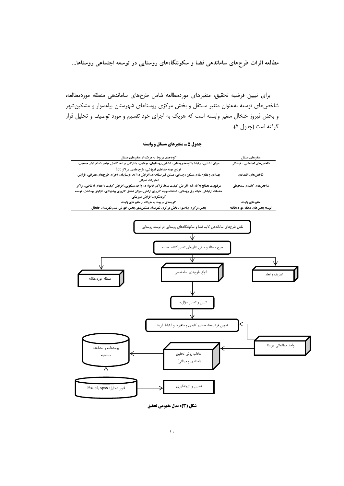براي تبيين فرضيه تحقيق، متغيرهاي موردمطالعه شامل طرحهاي ساماندهي منطقه موردمطالعه، شاخصهای توسعه بهعنوان متغیر مستقل و بخش مرکزی روستاهای شهرستان بیلهسوار و مشکین شهر و بخش فیروز خلخال متغیر وابسته است که هریک به اجزای خود تقسیم و مورد توصیف و تحلیل قرار گرفته است (جدول ۵).

جدول 5 ـ متغیرهای مستقل و وابسته

| گویههای مربوط به هریک از متغیرهای مستقل                                                                       | متغيرهاي مستقل                |
|---------------------------------------------------------------------------------------------------------------|-------------------------------|
| میزان آشنایی، ارتباط با توسعه روستایی، آشنایی روستاییان، موفقیت، مشارکت مردم، کاهش مهاجرت، افزایش جمعیت،      | شاخصهای اجتماعی ـ فرهنگی      |
| توزیع بهینه فضاهای آموزشی، طرح هادی، مراکز iCt                                                                |                               |
| بهسازی و مقاومسازی مسکن روستایی، مسکن غیراستاندارد، افزایش درآمد روستاییان، اجرای طرحهای عمرانی، افزایش       | شاخصهاي اقتصادي               |
| اعتبارات عمراني                                                                                               |                               |
| مرغوبیت مصالح به کاررفته، افزایش کیفیت بناها، تراکم خانوار در واحد مسکونی، افزایش کیفیت راههای ارتباطی، مراکز | شاخصهای کالبدی ـ محیطی        |
| خدمات ارتباطی، شبکه برق روستایی، استفاده بهینه کاربری اراضی، میزان تحقق کاربری پیشنهادی، افزایش بهداشت، توسعه |                               |
| گردشگری، افزایش سبزینگی                                                                                       |                               |
| گویههای مربوط به هریک از متغیرهای وابسته                                                                      | متغيرهاي وابسته               |
| بخش مرکزی بیلهسوار، بخش مرکزی شهرستان مشکینشهر، بخش خورش رستم شهرستان خلخال                                   | توسعه بخشهاى منطقه موردمطالعه |



شکل (3): مدل مفهومی تحقیق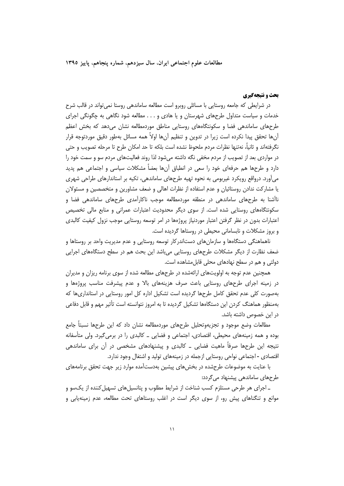مطالعات علوم اجتماعی ایران، سال سیزدهم، شماره پنجاهم، پاییز ۱۳۹۵

## **یحث و نتیجهگیری**

در شرایطی که جامعه روستایی با مسائلی روبرو است مطالعه ساماندهی روستا نمی تواند در قالب شرح خدمات و سیاست متداول طرحهای شهرستان و یا هادی و . . . مطالعه شود نگاهی به چگونگی اجرای طرحهای ساماندهی فضا و سکونتگاههای روستایی مناطق موردمطالعه نشان میدهد که بخش اعظم آنها تحقق پیدا نکرده است زیرا در تدوین و تنظیم آنها اولاً همه مسائل بهطور دقیق موردتوجه قرار نگرفتهاند و ثانياً، نهتنها نظرات مردم ملحوظ نشده است بلكه تا حد امكان طرح تا مرحله تصويب و حتى در مواردی بعد از تصویب از مردم مخفی نگه داشته میشود لذا روند فعالیتهای مردم سو و سمت خود را دارد و طرحها هم حرفهای خود را سعی در انطباق آنها بعضاً مشکلات سیاسی و اجتماعی هم پدید میآورد. درواقع رویکرد غیربومی به نحوه تهیه طرحهای ساماندهی، تکیه بر استاندارهای طراحی شهری یا مشارکت ندادن روستائیان و عدم استفاده از نظرات اهالی و ضعف مشاورین و متخصصین و مسئولان ناأشنا به طرحهای ساماندهی در منطقه موردمطالعه موجب ناکارآمدی طرحهای ساماندهی فضا و سکونتگاههای روستایی شده است. از سوی دیگر محدودیت اعتبارات عمرانی و منابع مالی تخصیص اعتبارات بدون در نظر گرفتن اعتبار موردنیاز پروژهها در امر توسعه روستایی موجب نزول کیفیت کالبدی و بروز مشکلات و نابسامانی محیطی در روستاها گردیده است.

ناهماهنگی دستگاهها و سازمانهای دستاندرکار توسعه روستایی و عدم مدیریت واحد بر روستاها و ضعف نظارت از دیگر مشکلات طرحهای روستایی میباشد این بحث هم در سطح دستگاههای اجرایی دولتی و هم در سطح نهادهای محلی قابل مشاهده است.

همچنین عدم توجه به اولویتهای ارائهشده در طرحهای مطالعه شده از سوی برنامه ریزان و مدیران در زمینه اجرای طرحهای روستایی باعث صرف هزینههای بالا و عدم پیشرفت مناسب پروژهها و بهصورت کلی عدم تحقق کامل طرحها گردیده است تشکیل اداره کل امور روستایی در استانداریها که بهمنظور هماهنگ کردن این دستگاهها تشکیل گردیده تا به امروز نتوانسته است تأثیر مهم و قابل دفاعی در این خصوص داشته باشد.

مطالعات وضع موجود و تجزيهوتحليل طرحهاى موردمطالعه نشان داد كه اين طرحها نسبتاً جامع بوده و همه زمینههای محیطی، اقتصادی، اجتماعی و فضایی ـ کالبدی را در برمی گیرد. ولی متأسفانه نتیجه این طرحها صرفاً ماهیت فضایی ــ کالبدی و پیشنهادهای مشخصی در آن برای ساماندهی اقتصادی - اجتماعی نواحی روستایی ازجمله در زمینههای تولید و اشتغال وجود ندارد.

با عنایت به موضوعات طرحشده در بخش های پیشین بهدستآمده موارد زیر جهت تحقق برنامههای طرحهای ساماندهی پیشنهاد می گردد:

ـ اجرای هر طرحی مستلزم کسب شناخت از شرایط مطلوب و پتانسیلهای تسهیل کننده از یکسو و موانع و تنگناهای پیش رو، از سوی دیگر است در اغلب روستاهای تحت مطالعه، عدم زمینهپابی و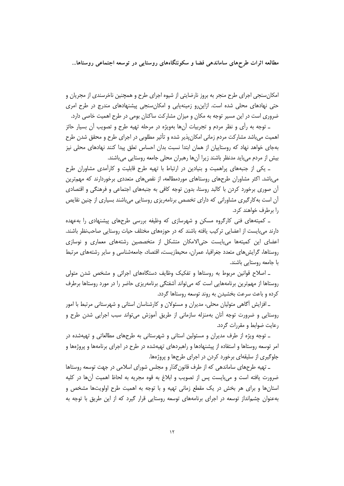امکان سنجی اجرای طرح منجر به بروز نارضایتی از شیوه اجرای طرح و همچنین ناخرسندی از مجریان و حتی نهادهای محلی شده است. ازاین رو زمینهپابی و امکان سنجی پیشنهادهای مندرج در طرح امری ضروری است در این مسیر توجه به مکان و میزان مشارکت ساکنان بومی در طرح اهمیت خاصی دارد.

ـ توجه به رأى و نظر مردم و تجربيات آنها بهويژه در مرحله تهيه طرح و تصويب آن بسيار حائز اهمیت می باشد مشارکت مردم زمانی امکان پذیر شده و تأثیر مطلوبی در اجرای طرح و محقق شدن طرح بهجای خواهد نهاد که روستاییان از همان ابتدا نسبت بدان احساس تعلق پیدا کنند نهادهای محلی نیز بیش از مردم می باید مدنظر باشند زیرا آن ها رهبران محلی جامعه روستایی می باشند.

ـ یکی از جنبههای پراهمیت و بنیادین در ارتباط با تهیه طرح قابلیت و کارآمدی مشاوران طرح می باشد. اکثر مشاوران طرحهای روستاهای موردمطالعه، از نقصهای متعددی برخوردارند که مهم ترین آن صوری برخورد کردن با کالبد روستا، بدون توجه کافی به جنبههای اجتماعی و فرهنگی و اقتصادی آن است به کارگیری مشاورانی که دارای تخصص برنامهریزی روستایی میباشند بسیاری از چنین نقایص را برطرف خواهند کرد.

۔ کمیتههای فنی کارگروه مسکن و شهرسازی که وظیفه بررسی طرحهای پیشنهادی را بهعهده دارند می بایست از اعضایی ترکیب یافته باشند که در حوزههای مختلف حیات روستایی صاحبنظر باشند. اعضای این کمیتهها میبایست حتی|لامکان متشکل از متخصصین رشتههای معماری و نوسازی روستاها، گرایش های متعدد جغرافیا، عمران، محیطزیست، اقتصاد، جامعهشناسی و سایر رشتههای مرتبط با جامعه روستایی باشند.

ـ اصلاح قوانین مربوط به روستاها و تفکیک وظایف دستگاههای اجرائی و مشخص شدن متولی روستاها از مهمترین برنامههایی است که میتواند آشفتگی برنامهریزی حاضر را در مورد روستاها برطرف کرده و باعث سرعت بخشیدن به روند توسعه روستاها گردد.

ـ افزایش أگاهی متولیان محلی، مدیران و مسئولان و کارشناسان استانی و شهرستانی مرتبط با امور روستایی و ضرورت توجه آنان بهمنزله سازمانی از طریق آموزش می تواند سبب اجرایی شدن طرح و رعایت ضوابط و مقررات گردد.

ـ توجه ویژه از طرف مدیران و مسئولین استانی و شهرستانی به طرحهای مطالعاتی و تهیهشده در امر توسعه روستاها و استفاده از پیشنهادها و راهبردهای تهیهشده در طرح در اجرای برنامهها و پروژهها و جلوگیری از سلیقهای برخورد کردن در اجرای طرحها و پروژهها.

ـ تهیه طرحهای ساماندهی که از طرف قانون گذار و مجلس شورای اسلامی در جهت توسعه روستاها ضرورت يافته است و مي!يست پس از تصويب و ابلاغ به قوه مجريه به لحاظ اهميت أنها در كليه استانها و برای هر بخش در یک مقطع زمانی تهیه و با توجه به اهمیت طرح اولویتها مشخص و بهعنوان چشمانداز توسعه در اجرای برنامههای توسعه روستایی قرار گیرد که از این طریق با توجه به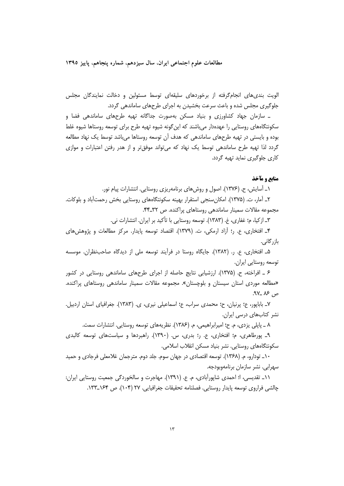الویت بندیِهای انجامگرفته از برخوردهای سلیقهای توسط مسئولین و دخالت نمایندگان مجلس جلوگیری مجلس شده و باعث سرعت بخشیدن به اجرای طرحهای ساماندهی گردد.

ــ سازمان جهاد کشاورزی و بنیاد مسکن بهصورت جداگانه تهیه طرحهای ساماندهی فضا و سکونتگاههای روستایی را عهدهدار میباشند که اینگونه شیوه تهیه طرح برای توسعه روستاها شیوه غلط بوده و بایستی در تهیه طرحهای ساماندهی که هدف آن توسعه روستاها میباشد توسط یک نهاد مطالعه گردد لذا تهیه طرح ساماندهی توسط یک نهاد که میتواند موفقتر و از هدر رفتن اعتبارات و موازی کاری جلوگیری نماید تهیه گردد.

# منابع و مآخذ

١ـ آسايش، ح. (١٣٧۶). اصول و روشهاى برنامهريزى روستايي. انتشارات پيام نور.

۲\_ آمار، ت. (۱۳۷۵). امکان سنجی استقرار بهینه سکونتگاههای روستایی بخش رحمتآباد و بلوکات. مجموعه مقالات سمینار ساماندهی روستاهای پراکنده. ص ۳۲\_۴۴.

٣\_ ازكيا، م؛ غفاري، غ. (١٣٨٣). توسعه روستايي با تأكيد بر ايران. انتشارات ني.

۴\_ افتخاري، ع. 5: أزاد ارمكي، ت. (١٣٧٩). اقتصاد توسعه پايدار. مركز مطالعات و پژوهش هاي بازر گانے ،

۵\_ افتخاری، ع. ٫. (۱۳۸۲). جایگاه روستا در فرآیند توسعه ملی از دیدگاه صاحب نظران. موسسه توسعه روستايي ايران.

۶ \_ افراخته، ح. (۱۳۷۵). ارزشیابی نتایج حاصله از اجرای طرحهای ساماندهی روستایی در کشور «مطالعه موردی استان سیستان و بلوچستان». مجموعه مقالات سمینار ساماندهی روستاهای پراکنده. ص ۸۶ \_۹۷.

٧\_ باباپور، ع؛ پرنیان، ح؛ محمدی سراب، ع؛ اسماعیلی نیری، ی. (١٣٨٣). جغرافیای استان اردبیل. نشر کتابهای درسی ایران.

٨ ـ پایلي پزدې، م. ح؛ امیرابراهیمې، م. (١٣٨۶). نظریههای توسعه روستایي. انتشارات سمت.

۹\_ پورطاهري، م؛ افتخاري، ع. ر؛ بدري، س. (۱۳۹۰). راهبردها و سياستهاي توسعه كالبدى سکونتگاههای روستایی. نشر بنیاد مسکن انقلاب اسلامی.

١٠\_ تودارو، م. (١٣۶٨). توسعه اقتصادي در جهان سوم. جلد دوم. مترجمان غلامعلي فرجادي و حميد سهرابي. نشر سازمان برنامهوبودجه.

١١\_ تقديسي، ا؛ احمدي شاپوراًبادي، م. ع. (١٣٩١). مهاجرت و سالخوردگي جمعيت روستايي ايران: چالشی فراروی توسعه پایدار روستایی. فصلنامه تحقیقات جغرافیایی. ۲۷ (۱۰۴). ص ۱۶۴\_۱۳۳.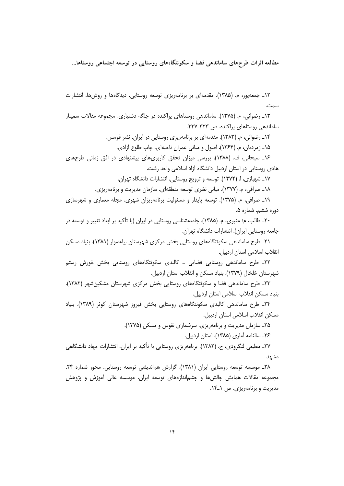۱۲\_ جمعهپور، م. (۱۳۸۵). مقدمهای بر برنامهریزی توسعه روستایی. دیدگاهها و روشها. انتشارات سمت

١٣\_ رضواني، م. (١٣٧۵). ساماندهي روستاهاي پراكنده در جلگه دشتياري. مجموعه مقالات سمينار ساماندهی روستاهای پراکنده. ص ۳۲۲\_۳۳۷.

> ۱۴\_ رضوانی، م. (۱۳۸۳). مقدمهای بر برنامهریزی روستایی در ایران. نشر قومس. ۱۵\_ زمرديان، م. (۱۳۶۴). اصول و مباني عمران ناحيهاي. چاپ طلوع آزادي.

۱۶\_ سبحانی، ف. (۱۳۸۸). بررسی میزان تحقق کاربریهای پیشنهادی در افق زمانی طرحهای هادی روستایی در استان اردبیل دانشگاه آزاد اسلامی واحد رشت.

١٧\_ شهبازي، ا. (١٣٧٢). توسعه و ترويج روستايي. انتشارات دانشگاه تهران.

١٨\_ صرافي، م. (١٣٧٧). مباني نظري توسعه منطقهاي. سازمان مديريت و برنامهريزي.

١٩\_ صرافي، م. (١٣٧۵). توسعه پايدار و مسئوليت برنامهريزان شهري. مجله معماري و شهرسازي دوره ششم. شماره ۵.

۲۰\_ طالب، م؛ عنبري، م. (۱۳۸۵). جامعهشناسي روستايي در ايران (با تأكيد بر ابعاد تغيير و توسعه در جامعه روستایی ایران). انتشارات دانشگاه تهران.

٢١ـ طرح ساماندهی سکونتگاههای روستایی بخش مرکزی شهرستان بیلهسوار (١٣٨١). بنیاد مسکن انقلاب اسلامی استان اردبیل.

٢٢\_ طرح ساماندهی روستایی فضایی \_ کالبدی سکونتگاههای روستایی بخش خورش رستم شهرستان خلخال (۱۳۷۹). بنیاد مسکن و انقلاب استان اردبیل.

٢٣\_ طرح ساماندهی فضا و سکونتگاههای روستایی بخش مرکزی شهرستان مشکین شهر (١٣٨٢). بنياد مسكن انقلاب اسلامي استان اردبيل.

۲۴\_ طرح ساماندهی کالبدی سکونتگاههای روستایی بخش فیروز شهرستان کوثر (۱۳۸۹). بنیاد مسكن انقلاب اسلامي استان اردبيل.

۲۵\_ سازمان مدیریت و برنامهریزی. سرشماری نفوس و مسکن (۱۳۷۵).

۲۶\_ سالنامه آماری (۱۳۸۵). استان اردبیل.

٢٧ـ مطيعي لنگرودي، ح. (١٣٨٢). برنامهريزي روستايي با تأكيد بر ايران. انتشارات جهاد دانشگاهي مشهد.

٢٨\_ موسسه توسعه روستايي ايران (١٣٨١). گزارش همانديشي توسعه روستايي. محور شماره ٢۴. مجموعه مقالات همایش چالشها و چشماندازههای توسعه ایران. موسسه عالی اًموزش و پژوهش مدیریت و برنامهریزی. ص ۱-۱۴.